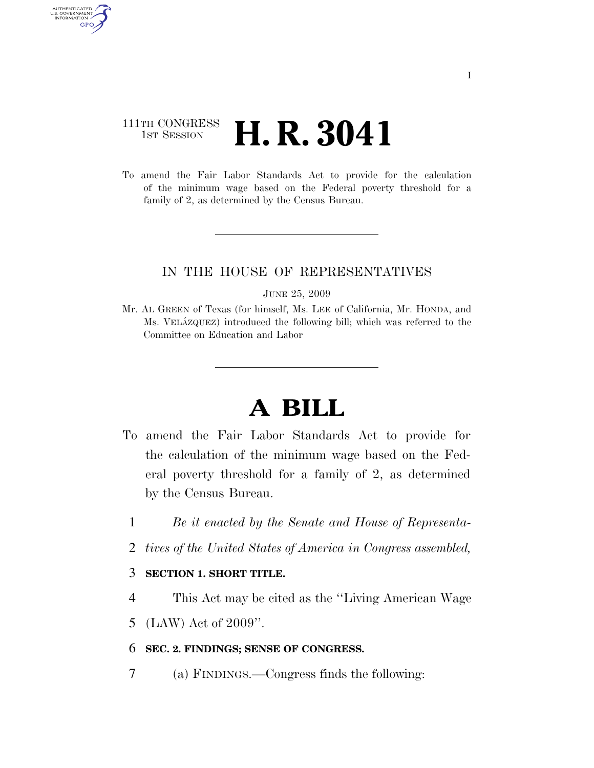## 111TH CONGRESS **1st Session H. R. 3041**

AUTHENTICATED U.S. GOVERNMENT GPO

> To amend the Fair Labor Standards Act to provide for the calculation of the minimum wage based on the Federal poverty threshold for a family of 2, as determined by the Census Bureau.

### IN THE HOUSE OF REPRESENTATIVES

JUNE 25, 2009

Mr. AL GREEN of Texas (for himself, Ms. LEE of California, Mr. HONDA, and Ms. VELA´ZQUEZ) introduced the following bill; which was referred to the Committee on Education and Labor

# **A BILL**

- To amend the Fair Labor Standards Act to provide for the calculation of the minimum wage based on the Federal poverty threshold for a family of 2, as determined by the Census Bureau.
	- 1 *Be it enacted by the Senate and House of Representa-*
	- 2 *tives of the United States of America in Congress assembled,*

### 3 **SECTION 1. SHORT TITLE.**

- 4 This Act may be cited as the ''Living American Wage
- 5 (LAW) Act of 2009''.

#### 6 **SEC. 2. FINDINGS; SENSE OF CONGRESS.**

7 (a) FINDINGS.—Congress finds the following: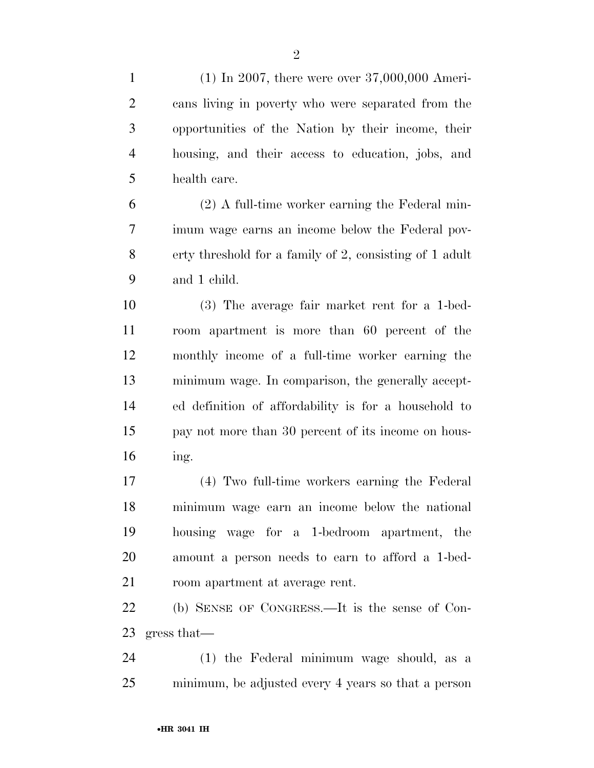(1) In 2007, there were over 37,000,000 Ameri- cans living in poverty who were separated from the opportunities of the Nation by their income, their housing, and their access to education, jobs, and health care.

 (2) A full-time worker earning the Federal min- imum wage earns an income below the Federal pov- erty threshold for a family of 2, consisting of 1 adult and 1 child.

 (3) The average fair market rent for a 1-bed- room apartment is more than 60 percent of the monthly income of a full-time worker earning the minimum wage. In comparison, the generally accept- ed definition of affordability is for a household to pay not more than 30 percent of its income on hous-ing.

 (4) Two full-time workers earning the Federal minimum wage earn an income below the national housing wage for a 1-bedroom apartment, the amount a person needs to earn to afford a 1-bed-room apartment at average rent.

 (b) SENSE OF CONGRESS.—It is the sense of Con-gress that—

 (1) the Federal minimum wage should, as a minimum, be adjusted every 4 years so that a person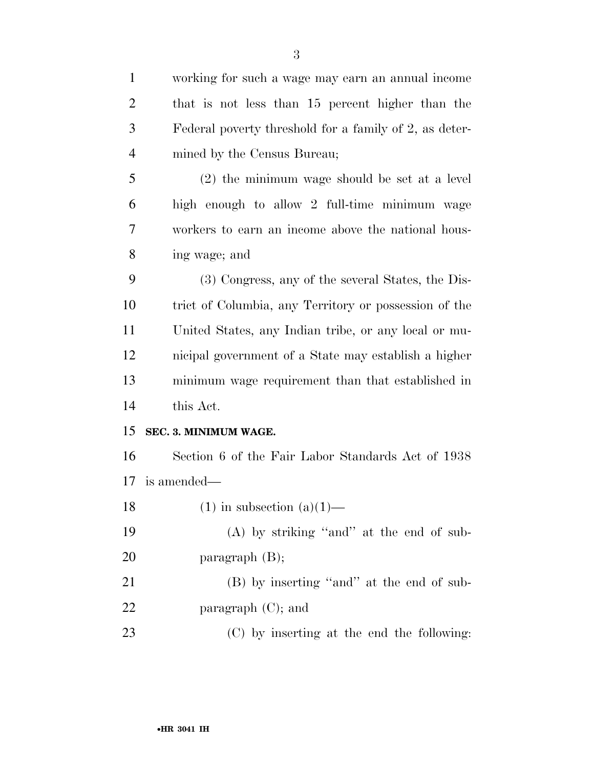| $\mathbf{1}$   | working for such a wage may earn an annual income      |
|----------------|--------------------------------------------------------|
| $\overline{2}$ | that is not less than 15 percent higher than the       |
| 3              | Federal poverty threshold for a family of 2, as deter- |
| $\overline{4}$ | mined by the Census Bureau;                            |
| 5              | (2) the minimum wage should be set at a level          |
| 6              | high enough to allow 2 full-time minimum wage          |
| 7              | workers to earn an income above the national hous-     |
| 8              | ing wage; and                                          |
| 9              | (3) Congress, any of the several States, the Dis-      |
| 10             | trict of Columbia, any Territory or possession of the  |
| 11             | United States, any Indian tribe, or any local or mu-   |
| 12             | nicipal government of a State may establish a higher   |
| 13             | minimum wage requirement than that established in      |
| 14             | this Act.                                              |
| 15             | SEC. 3. MINIMUM WAGE.                                  |
| 16             | Section 6 of the Fair Labor Standards Act of 1938      |
| 17             | is amended—                                            |
| 18             | $(1)$ in subsection $(a)(1)$                           |
| 19             | $(A)$ by striking "and" at the end of sub-             |
| 20             | paragraph $(B)$ ;                                      |
| 21             | (B) by inserting "and" at the end of sub-              |
| 22             | paragraph $(C)$ ; and                                  |
| 23             | (C) by inserting at the end the following:             |